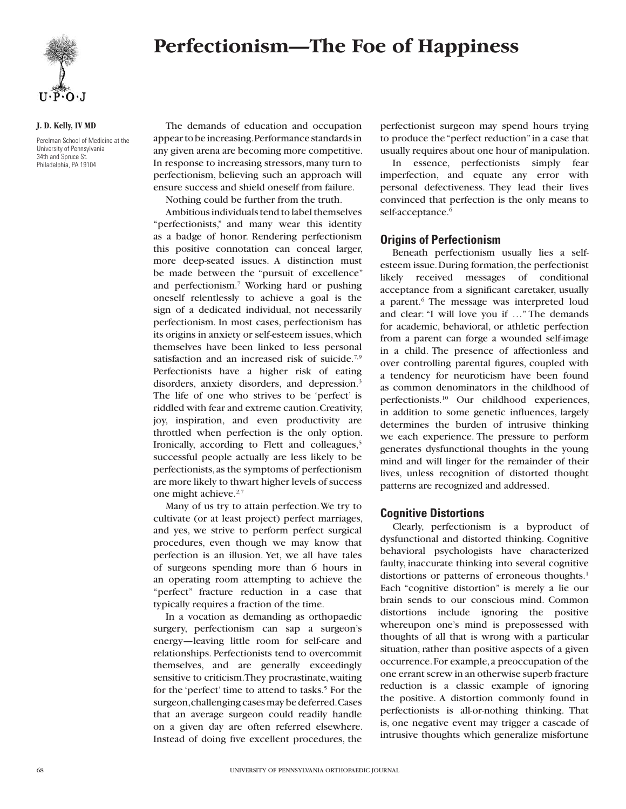



#### **J. D. Kelly, IV MD**

Perelman School of Medicine at the University of Pennsylvania 34th and Spruce St. Philadelphia, PA 19104

The demands of education and occupation appear to be increasing. Performance standards in any given arena are becoming more competitive. In response to increasing stressors, many turn to perfectionism, believing such an approach will ensure success and shield oneself from failure.

Nothing could be further from the truth.

Ambitious individuals tend to label themselves "perfectionists," and many wear this identity as a badge of honor. Rendering perfectionism this positive connotation can conceal larger, more deep-seated issues. A distinction must be made between the "pursuit of excellence" and perfectionism.7 Working hard or pushing oneself relentlessly to achieve a goal is the sign of a dedicated individual, not necessarily perfectionism. In most cases, perfectionism has its origins in anxiety or self-esteem issues, which themselves have been linked to less personal satisfaction and an increased risk of suicide.<sup>7,9</sup> Perfectionists have a higher risk of eating disorders, anxiety disorders, and depression.3 The life of one who strives to be 'perfect' is riddled with fear and extreme caution. Creativity, joy, inspiration, and even productivity are throttled when perfection is the only option. Ironically, according to Flett and colleagues,<sup>5</sup> successful people actually are less likely to be perfectionists, as the symptoms of perfectionism are more likely to thwart higher levels of success one might achieve.<sup>2,7</sup>

Many of us try to attain perfection. We try to cultivate (or at least project) perfect marriages, and yes, we strive to perform perfect surgical procedures, even though we may know that perfection is an illusion. Yet, we all have tales of surgeons spending more than 6 hours in an operating room attempting to achieve the "perfect" fracture reduction in a case that typically requires a fraction of the time.

In a vocation as demanding as orthopaedic surgery, perfectionism can sap a surgeon's energy—leaving little room for self-care and relationships. Perfectionists tend to overcommit themselves, and are generally exceedingly sensitive to criticism. They procrastinate, waiting for the 'perfect' time to attend to tasks.<sup>5</sup> For the surgeon, challenging cases may be deferred. Cases that an average surgeon could readily handle on a given day are often referred elsewhere. Instead of doing five excellent procedures, the

perfectionist surgeon may spend hours trying to produce the "perfect reduction" in a case that usually requires about one hour of manipulation.

In essence, perfectionists simply fear imperfection, and equate any error with personal defectiveness. They lead their lives convinced that perfection is the only means to self-acceptance.<sup>6</sup>

## **Origins of Perfectionism**

Beneath perfectionism usually lies a selfesteem issue. During formation, the perfectionist likely received messages of conditional acceptance from a significant caretaker, usually a parent.<sup>6</sup> The message was interpreted loud and clear: "I will love you if …" The demands for academic, behavioral, or athletic perfection from a parent can forge a wounded self-image in a child. The presence of affectionless and over controlling parental figures, coupled with a tendency for neuroticism have been found as common denominators in the childhood of perfectionists.10 Our childhood experiences, in addition to some genetic influences, largely determines the burden of intrusive thinking we each experience. The pressure to perform generates dysfunctional thoughts in the young mind and will linger for the remainder of their lives, unless recognition of distorted thought patterns are recognized and addressed.

# **Cognitive Distortions**

Clearly, perfectionism is a byproduct of dysfunctional and distorted thinking. Cognitive behavioral psychologists have characterized faulty, inaccurate thinking into several cognitive distortions or patterns of erroneous thoughts.<sup>1</sup> Each "cognitive distortion" is merely a lie our brain sends to our conscious mind. Common distortions include ignoring the positive whereupon one's mind is prepossessed with thoughts of all that is wrong with a particular situation, rather than positive aspects of a given occurrence. For example, a preoccupation of the one errant screw in an otherwise superb fracture reduction is a classic example of ignoring the positive. A distortion commonly found in perfectionists is all-or-nothing thinking. That is, one negative event may trigger a cascade of intrusive thoughts which generalize misfortune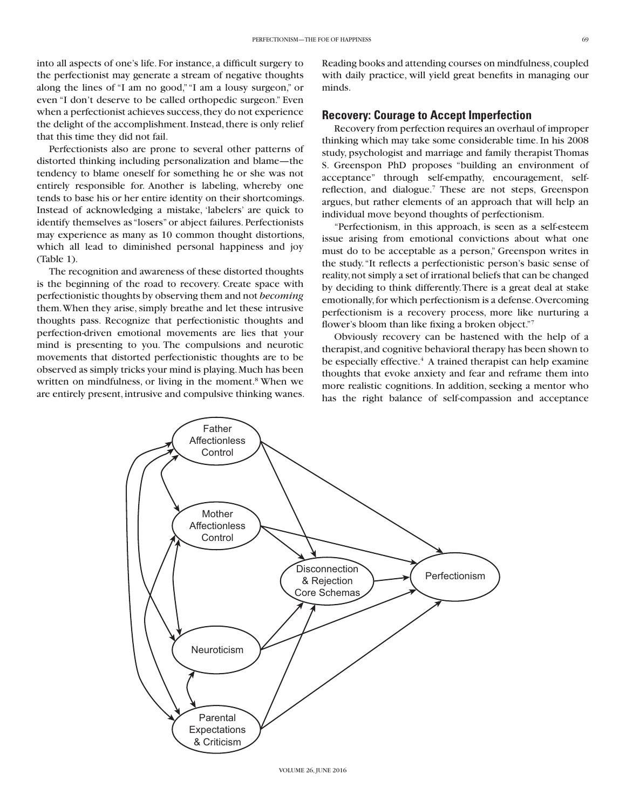into all aspects of one's life. For instance, a difficult surgery to the perfectionist may generate a stream of negative thoughts along the lines of "I am no good," "I am a lousy surgeon," or even "I don't deserve to be called orthopedic surgeon." Even when a perfectionist achieves success, they do not experience the delight of the accomplishment. Instead, there is only relief that this time they did not fail.

Perfectionists also are prone to several other patterns of distorted thinking including personalization and blame—the tendency to blame oneself for something he or she was not entirely responsible for. Another is labeling, whereby one tends to base his or her entire identity on their shortcomings. Instead of acknowledging a mistake, 'labelers' are quick to identify themselves as "losers" or abject failures. Perfectionists may experience as many as 10 common thought distortions, which all lead to diminished personal happiness and joy (Table 1).

The recognition and awareness of these distorted thoughts is the beginning of the road to recovery. Create space with perfectionistic thoughts by observing them and not *becoming* them. When they arise, simply breathe and let these intrusive thoughts pass. Recognize that perfectionistic thoughts and perfection-driven emotional movements are lies that your mind is presenting to you. The compulsions and neurotic movements that distorted perfectionistic thoughts are to be observed as simply tricks your mind is playing. Much has been written on mindfulness, or living in the moment.<sup>8</sup> When we are entirely present, intrusive and compulsive thinking wanes. Reading books and attending courses on mindfulness, coupled with daily practice, will yield great benefits in managing our minds.

#### **Recovery: Courage to Accept Imperfection**

Recovery from perfection requires an overhaul of improper thinking which may take some considerable time. In his 2008 study, psychologist and marriage and family therapist Thomas S. Greenspon PhD proposes "building an environment of acceptance" through self-empathy, encouragement, selfreflection, and dialogue.<sup>7</sup> These are not steps, Greenspon argues, but rather elements of an approach that will help an individual move beyond thoughts of perfectionism.

"Perfectionism, in this approach, is seen as a self-esteem issue arising from emotional convictions about what one must do to be acceptable as a person," Greenspon writes in the study. "It reflects a perfectionistic person's basic sense of reality, not simply a set of irrational beliefs that can be changed by deciding to think differently. There is a great deal at stake emotionally, for which perfectionism is a defense. Overcoming perfectionism is a recovery process, more like nurturing a flower's bloom than like fixing a broken object."7

Obviously recovery can be hastened with the help of a therapist, and cognitive behavioral therapy has been shown to be especially effective.<sup>4</sup> A trained therapist can help examine thoughts that evoke anxiety and fear and reframe them into more realistic cognitions. In addition, seeking a mentor who has the right balance of self-compassion and acceptance